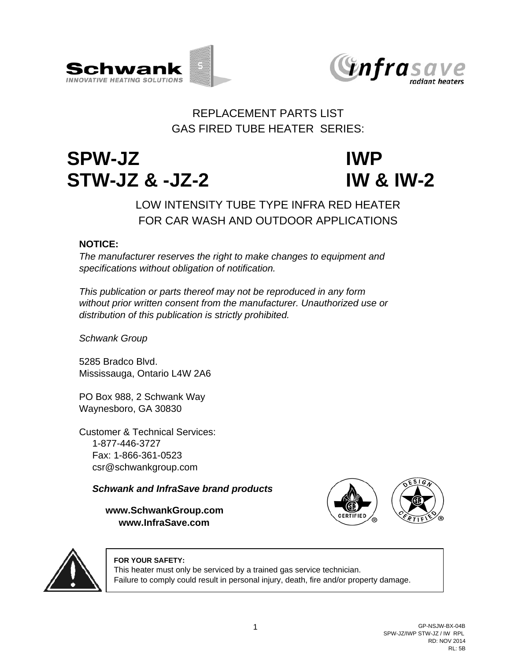



## REPLACEMENT PARTS LIST GAS FIRED TUBE HEATER SERIES:

# **SPW-JZ IWP STW-JZ & -JZ-2 IW & IW-2**

# FOR CAR WASH AND OUTDOOR APPLICATIONS LOW INTENSITY TUBE TYPE INFRA RED HEATER

### **NOTICE:**

*The manufacturer reserves the right to make changes to equipment and specifications without obligation of notification.*

*This publication or parts thereof may not be reproduced in any form without prior written consent from the manufacturer. Unauthorized use or distribution of this publication is strictly prohibited.*

*Schwank Group*

5285 Bradco Blvd. Mississauga, Ontario L4W 2A6

PO Box 988, 2 Schwank Way Waynesboro, GA 30830

Customer & Technical Services: 1-877-446-3727 Fax: 1-866-361-0523 csr@schwankgroup.com

*Schwank and InfraSave brand products*

**www.SchwankGroup.com www.InfraSave.com**





#### **FOR YOUR SAFETY:**

This heater must only be serviced by a trained gas service technician. Failure to comply could result in personal injury, death, fire and/or property damage.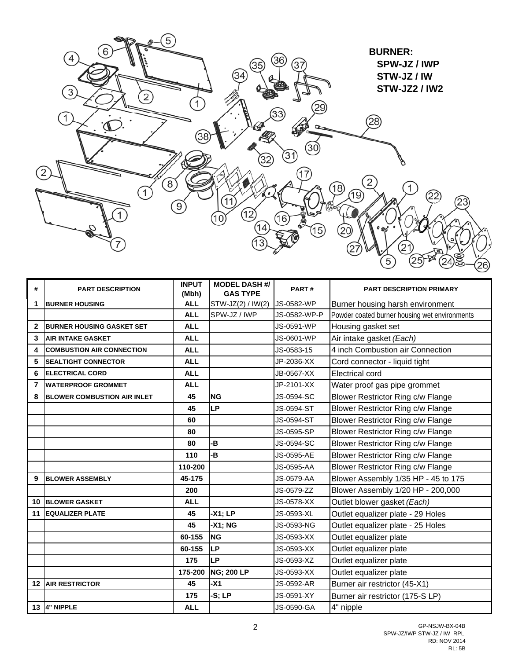

| #            | <b>PART DESCRIPTION</b>            | <b>INPUT</b><br>(Mbh) | <b>MODEL DASH #/</b><br><b>GAS TYPE</b> | PART#             | <b>PART DESCRIPTION PRIMARY</b>               |
|--------------|------------------------------------|-----------------------|-----------------------------------------|-------------------|-----------------------------------------------|
| 1            | <b>BURNER HOUSING</b>              | <b>ALL</b>            | STW-JZ(2) / IW(2)                       | JS-0582-WP        | Burner housing harsh environment              |
|              |                                    | <b>ALL</b>            | SPW-JZ / IWP                            | JS-0582-WP-P      | Powder coated burner housing wet environments |
| $\mathbf{2}$ | <b>IBURNER HOUSING GASKET SET</b>  | <b>ALL</b>            |                                         | JS-0591-WP        | Housing gasket set                            |
| 3            | <b>AIR INTAKE GASKET</b>           | <b>ALL</b>            |                                         | JS-0601-WP        | Air intake gasket (Each)                      |
| 4            | <b>COMBUSTION AIR CONNECTION</b>   | <b>ALL</b>            |                                         | JS-0583-15        | 4 inch Combustion air Connection              |
| 5            | <b>SEALTIGHT CONNECTOR</b>         | <b>ALL</b>            |                                         | JP-2036-XX        | Cord connector - liquid tight                 |
| 6            | <b>ELECTRICAL CORD</b>             | <b>ALL</b>            |                                         | JB-0567-XX        | Electrical cord                               |
| 7            | <b>WATERPROOF GROMMET</b>          | <b>ALL</b>            |                                         | JP-2101-XX        | Water proof gas pipe grommet                  |
| 8            | <b>BLOWER COMBUSTION AIR INLET</b> | 45                    | <b>NG</b>                               | JS-0594-SC        | Blower Restrictor Ring c/w Flange             |
|              |                                    | 45                    | <b>LP</b>                               | JS-0594-ST        | Blower Restrictor Ring c/w Flange             |
|              |                                    | 60                    |                                         | JS-0594-ST        | Blower Restrictor Ring c/w Flange             |
|              |                                    | 80                    |                                         | JS-0595-SP        | Blower Restrictor Ring c/w Flange             |
|              |                                    | 80                    | -B                                      | JS-0594-SC        | Blower Restrictor Ring c/w Flange             |
|              |                                    | 110                   | -B                                      | JS-0595-AE        | Blower Restrictor Ring c/w Flange             |
|              |                                    | 110-200               |                                         | JS-0595-AA        | Blower Restrictor Ring c/w Flange             |
| 9            | <b>BLOWER ASSEMBLY</b>             | 45-175                |                                         | <b>JS-0579-AA</b> | Blower Assembly 1/35 HP - 45 to 175           |
|              |                                    | 200                   |                                         | JS-0579-ZZ        | Blower Assembly 1/20 HP - 200,000             |
| 10           | <b>BLOWER GASKET</b>               | <b>ALL</b>            |                                         | JS-0578-XX        | Outlet blower gasket (Each)                   |
| 11           | <b>EQUALIZER PLATE</b>             | 45                    | $-X1; LP$                               | JS-0593-XL        | Outlet equalizer plate - 29 Holes             |
|              |                                    | 45                    | -X1; NG                                 | JS-0593-NG        | Outlet equalizer plate - 25 Holes             |
|              |                                    | 60-155                | <b>NG</b>                               | JS-0593-XX        | Outlet equalizer plate                        |
|              |                                    | 60-155                | LP                                      | JS-0593-XX        | Outlet equalizer plate                        |
|              |                                    | 175                   | LP                                      | JS-0593-XZ        | Outlet equalizer plate                        |
|              |                                    | 175-200               | <b>NG; 200 LP</b>                       | JS-0593-XX        | Outlet equalizer plate                        |
| 12           | <b>AIR RESTRICTOR</b>              | 45                    | $-X1$                                   | JS-0592-AR        | Burner air restrictor (45-X1)                 |
|              |                                    | 175                   | $-S; LP$                                | JS-0591-XY        | Burner air restrictor (175-S LP)              |
|              | 13 4" NIPPLE                       | <b>ALL</b>            |                                         | JS-0590-GA        | 4" nipple                                     |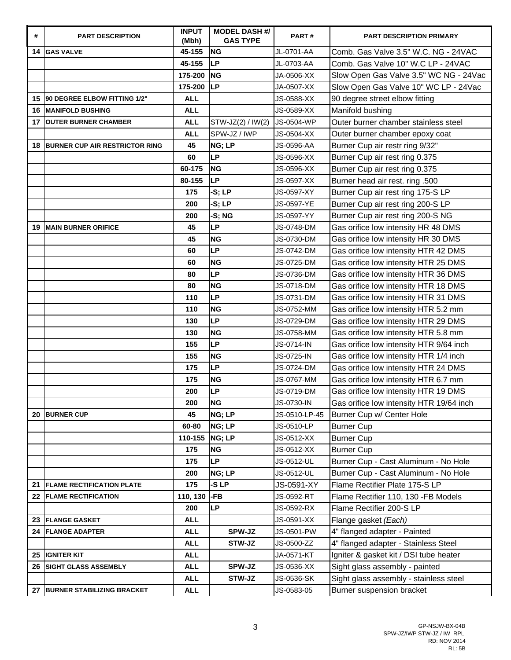| #  | <b>PART DESCRIPTION</b>               | <b>INPUT</b><br>(Mbh) | <b>MODEL DASH #/</b><br><b>GAS TYPE</b> | PART#         | <b>PART DESCRIPTION PRIMARY</b>          |
|----|---------------------------------------|-----------------------|-----------------------------------------|---------------|------------------------------------------|
| 14 | <b>GAS VALVE</b>                      | 45-155                | <b>NG</b>                               | JL-0701-AA    | Comb. Gas Valve 3.5" W.C. NG - 24VAC     |
|    |                                       | 45-155                | <b>LP</b>                               | JL-0703-AA    | Comb. Gas Valve 10" W.C LP - 24VAC       |
|    |                                       | 175-200               | <b>NG</b>                               | JA-0506-XX    | Slow Open Gas Valve 3.5" WC NG - 24Vac   |
|    |                                       | 175-200               | <b>LP</b>                               | JA-0507-XX    | Slow Open Gas Valve 10" WC LP - 24Vac    |
| 15 | 90 DEGREE ELBOW FITTING 1/2"          | <b>ALL</b>            |                                         | JS-0588-XX    | 90 degree street elbow fitting           |
| 16 | <b>MANIFOLD BUSHING</b>               | <b>ALL</b>            |                                         | JS-0589-XX    | Manifold bushing                         |
| 17 | <b>OUTER BURNER CHAMBER</b>           | <b>ALL</b>            | STW-JZ(2) / IW(2)                       | JS-0504-WP    | Outer burner chamber stainless steel     |
|    |                                       | <b>ALL</b>            | SPW-JZ / IWP                            | JS-0504-XX    | Outer burner chamber epoxy coat          |
| 18 | <b>BURNER CUP AIR RESTRICTOR RING</b> | 45                    | NG; LP                                  | JS-0596-AA    | Burner Cup air restr ring 9/32"          |
|    |                                       | 60                    | <b>LP</b>                               | JS-0596-XX    | Burner Cup air rest ring 0.375           |
|    |                                       | 60-175                | <b>NG</b>                               | JS-0596-XX    | Burner Cup air rest ring 0.375           |
|    |                                       | 80-155                | <b>LP</b>                               | JS-0597-XX    | Burner head air rest. ring .500          |
|    |                                       | 175                   | $-S; LP$                                | JS-0597-XY    | Burner Cup air rest ring 175-S LP        |
|    |                                       | 200                   | $-S; LP$                                | JS-0597-YE    | Burner Cup air rest ring 200-S LP        |
|    |                                       | 200                   | -S; NG                                  | JS-0597-YY    | Burner Cup air rest ring 200-S NG        |
| 19 | <b>MAIN BURNER ORIFICE</b>            | 45                    | <b>LP</b>                               | JS-0748-DM    | Gas orifice low intensity HR 48 DMS      |
|    |                                       | 45                    | <b>NG</b>                               | JS-0730-DM    | Gas orifice low intensity HR 30 DMS      |
|    |                                       | 60                    | LP                                      | JS-0742-DM    | Gas orifice low intensity HTR 42 DMS     |
|    |                                       | 60                    | <b>NG</b>                               | JS-0725-DM    | Gas orifice low intensity HTR 25 DMS     |
|    |                                       | 80                    | LP                                      | JS-0736-DM    | Gas orifice low intensity HTR 36 DMS     |
|    |                                       | 80                    | <b>NG</b>                               | JS-0718-DM    | Gas orifice low intensity HTR 18 DMS     |
|    |                                       | 110                   | <b>LP</b>                               | JS-0731-DM    | Gas orifice low intensity HTR 31 DMS     |
|    |                                       | 110                   | <b>NG</b>                               | JS-0752-MM    | Gas orifice low intensity HTR 5.2 mm     |
|    |                                       | 130                   | <b>LP</b>                               | JS-0729-DM    | Gas orifice low intensity HTR 29 DMS     |
|    |                                       | 130                   | <b>NG</b>                               | JS-0758-MM    | Gas orifice low intensity HTR 5.8 mm     |
|    |                                       | 155                   | <b>LP</b>                               | JS-0714-IN    | Gas orifice low intensity HTR 9/64 inch  |
|    |                                       | 155                   | <b>NG</b>                               | JS-0725-IN    | Gas orifice low intensity HTR 1/4 inch   |
|    |                                       | 175                   | <b>LP</b>                               | JS-0724-DM    | Gas orifice low intensity HTR 24 DMS     |
|    |                                       | 175                   | <b>NG</b>                               | JS-0767-MM    | Gas orifice low intensity HTR 6.7 mm     |
|    |                                       | 200                   | <b>LP</b>                               | JS-0719-DM    | Gas orifice low intensity HTR 19 DMS     |
|    |                                       | 200                   | <b>NG</b>                               | JS-0730-IN    | Gas orifice low intensity HTR 19/64 inch |
| 20 | <b>BURNER CUP</b>                     | 45                    | NG; LP                                  | JS-0510-LP-45 | Burner Cup w/ Center Hole                |
|    |                                       | 60-80                 | NG; LP                                  | JS-0510-LP    | <b>Burner Cup</b>                        |
|    |                                       | 110-155               | NG; LP                                  | JS-0512-XX    | <b>Burner Cup</b>                        |
|    |                                       | 175                   | <b>NG</b>                               | JS-0512-XX    | <b>Burner Cup</b>                        |
|    |                                       | 175                   | <b>LP</b>                               | JS-0512-UL    | Burner Cup - Cast Aluminum - No Hole     |
|    |                                       | 200                   | NG; LP                                  | JS-0512-UL    | Burner Cup - Cast Aluminum - No Hole     |
| 21 | <b>FLAME RECTIFICATION PLATE</b>      | 175                   | -S LP                                   | JS-0591-XY    | Flame Rectifier Plate 175-S LP           |
| 22 | <b>FLAME RECTIFICATION</b>            | 110, 130              | -FB                                     | JS-0592-RT    | Flame Rectifier 110, 130 -FB Models      |
|    |                                       | 200                   | <b>LP</b>                               | JS-0592-RX    | Flame Rectifier 200-S LP                 |
| 23 | <b>FLANGE GASKET</b>                  | <b>ALL</b>            |                                         | JS-0591-XX    | Flange gasket (Each)                     |
| 24 | <b>FLANGE ADAPTER</b>                 | <b>ALL</b>            | SPW-JZ                                  | JS-0501-PW    | 4" flanged adapter - Painted             |
|    |                                       | <b>ALL</b>            | STW-JZ                                  | JS-0500-ZZ    | 4" flanged adapter - Stainless Steel     |
| 25 | <b>IGNITER KIT</b>                    | <b>ALL</b>            |                                         | JA-0571-KT    | Igniter & gasket kit / DSI tube heater   |
| 26 | <b>SIGHT GLASS ASSEMBLY</b>           | <b>ALL</b>            | SPW-JZ                                  | JS-0536-XX    | Sight glass assembly - painted           |
|    |                                       | <b>ALL</b>            | STW-JZ                                  | JS-0536-SK    | Sight glass assembly - stainless steel   |
|    | 27 BURNER STABILIZING BRACKET         | <b>ALL</b>            |                                         | JS-0583-05    | Burner suspension bracket                |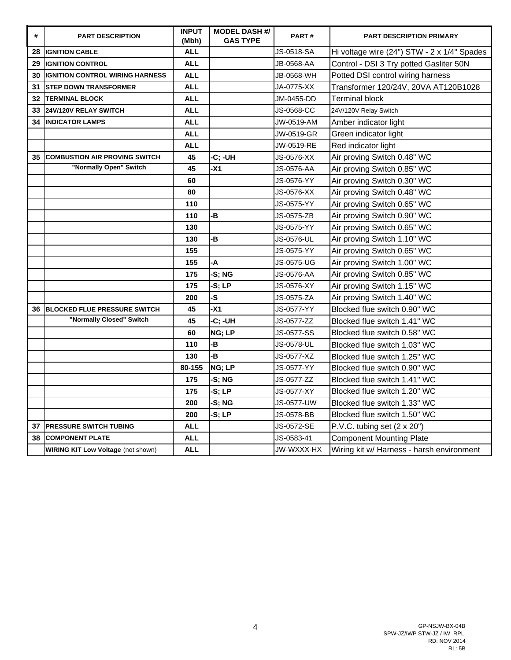| #  | <b>PART DESCRIPTION</b>                   | <b>INPUT</b><br>(Mbh) | <b>MODEL DASH #/</b><br><b>GAS TYPE</b> | PART#             | <b>PART DESCRIPTION PRIMARY</b>             |
|----|-------------------------------------------|-----------------------|-----------------------------------------|-------------------|---------------------------------------------|
| 28 | <b>IGNITION CABLE</b>                     | <b>ALL</b>            |                                         | JS-0518-SA        | Hi voltage wire (24") STW - 2 x 1/4" Spades |
| 29 | <b>IGNITION CONTROL</b>                   | <b>ALL</b>            |                                         | JB-0568-AA        | Control - DSI 3 Try potted Gasliter 50N     |
| 30 | <b>IGNITION CONTROL WIRING HARNESS</b>    | <b>ALL</b>            |                                         | JB-0568-WH        | Potted DSI control wiring harness           |
| 31 | <b>STEP DOWN TRANSFORMER</b>              | <b>ALL</b>            |                                         | JA-0775-XX        | Transformer 120/24V, 20VA AT120B1028        |
| 32 | <b>TERMINAL BLOCK</b>                     | <b>ALL</b>            |                                         | JM-0455-DD        | <b>Terminal block</b>                       |
| 33 | 24V/120V RELAY SWITCH                     | <b>ALL</b>            |                                         | JS-0568-CC        | 24V/120V Relay Switch                       |
| 34 | <b>INDICATOR LAMPS</b>                    | <b>ALL</b>            |                                         | JW-0519-AM        | Amber indicator light                       |
|    |                                           | <b>ALL</b>            |                                         | <b>JW-0519-GR</b> | Green indicator light                       |
|    |                                           | <b>ALL</b>            |                                         | JW-0519-RE        | Red indicator light                         |
| 35 | <b>COMBUSTION AIR PROVING SWITCH</b>      | 45                    | -C; -UH                                 | JS-0576-XX        | Air proving Switch 0.48" WC                 |
|    | "Normally Open" Switch                    | 45                    | $-X1$                                   | <b>JS-0576-AA</b> | Air proving Switch 0.85" WC                 |
|    |                                           | 60                    |                                         | JS-0576-YY        | Air proving Switch 0.30" WC                 |
|    |                                           | 80                    |                                         | JS-0576-XX        | Air proving Switch 0.48" WC                 |
|    |                                           | 110                   |                                         | JS-0575-YY        | Air proving Switch 0.65" WC                 |
|    |                                           | 110                   | -B                                      | JS-0575-ZB        | Air proving Switch 0.90" WC                 |
|    |                                           | 130                   |                                         | <b>JS-0575-YY</b> | Air proving Switch 0.65" WC                 |
|    |                                           | 130                   | -B                                      | JS-0576-UL        | Air proving Switch 1.10" WC                 |
|    |                                           | 155                   |                                         | JS-0575-YY        | Air proving Switch 0.65" WC                 |
|    |                                           | 155                   | -A                                      | JS-0575-UG        | Air proving Switch 1.00" WC                 |
|    |                                           | 175                   | -S; NG                                  | JS-0576-AA        | Air proving Switch 0.85" WC                 |
|    |                                           | 175                   | -S: LP                                  | JS-0576-XY        | Air proving Switch 1.15" WC                 |
|    |                                           | 200                   | -S                                      | JS-0575-ZA        | Air proving Switch 1.40" WC                 |
| 36 | <b>BLOCKED FLUE PRESSURE SWITCH</b>       | 45                    | $-X1$                                   | JS-0577-YY        | Blocked flue switch 0.90" WC                |
|    | "Normally Closed" Switch                  | 45                    | -C; -UH                                 | JS-0577-ZZ        | Blocked flue switch 1.41" WC                |
|    |                                           | 60                    | NG; LP                                  | JS-0577-SS        | Blocked flue switch 0.58" WC                |
|    |                                           | 110                   | -B                                      | <b>JS-0578-UL</b> | Blocked flue switch 1.03" WC                |
|    |                                           | 130                   | -B                                      | JS-0577-XZ        | Blocked flue switch 1.25" WC                |
|    |                                           | 80-155                | NG; LP                                  | JS-0577-YY        | Blocked flue switch 0.90" WC                |
|    |                                           | 175                   | -S: NG                                  | JS-0577-ZZ        | Blocked flue switch 1.41" WC                |
|    |                                           | 175                   | $-S; LP$                                | JS-0577-XY        | Blocked flue switch 1.20" WC                |
|    |                                           | 200                   | -S; NG                                  | JS-0577-UW        | Blocked flue switch 1.33" WC                |
|    |                                           | 200                   | $-S; LP$                                | <b>JS-0578-BB</b> | Blocked flue switch 1.50" WC                |
| 37 | <b>PRESSURE SWITCH TUBING</b>             | <b>ALL</b>            |                                         | <b>JS-0572-SE</b> | P.V.C. tubing set $(2 \times 20")$          |
| 38 | <b>COMPONENT PLATE</b>                    | ALL                   |                                         | JS-0583-41        | <b>Component Mounting Plate</b>             |
|    | <b>WIRING KIT Low Voltage (not shown)</b> | <b>ALL</b>            |                                         | JW-WXXX-HX        | Wiring kit w/ Harness - harsh environment   |